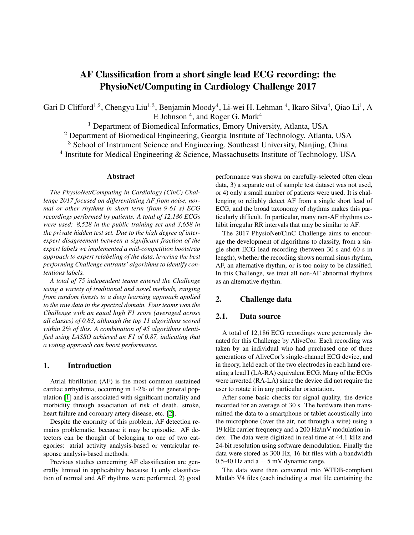# AF Classification from a short single lead ECG recording: the PhysioNet/Computing in Cardiology Challenge 2017

Gari D Clifford<sup>1,2</sup>, Chengyu Liu<sup>1,3</sup>, Benjamin Moody<sup>4</sup>, Li-wei H. Lehman <sup>4</sup>, Ikaro Silva<sup>4</sup>, Qiao Li<sup>1</sup>, A E Johnson  $^4$ , and Roger G. Mark $^4$ 

<sup>1</sup> Department of Biomedical Informatics, Emory University, Atlanta, USA

<sup>2</sup> Department of Biomedical Engineering, Georgia Institute of Technology, Atlanta, USA

<sup>3</sup> School of Instrument Science and Engineering, Southeast University, Nanjing, China

<sup>4</sup> Institute for Medical Engineering & Science, Massachusetts Institute of Technology, USA

#### Abstract

*The PhysioNet/Computing in Cardiology (CinC) Challenge 2017 focused on differentiating AF from noise, normal or other rhythms in short term (from 9-61 s) ECG recordings performed by patients. A total of 12,186 ECGs were used: 8,528 in the public training set and 3,658 in the private hidden test set. Due to the high degree of interexpert disagreement between a significant fraction of the expert labels we implemented a mid-competition bootstrap approach to expert relabeling of the data, levering the best performing Challenge entrants' algorithms to identify contentious labels.*

*A total of 75 independent teams entered the Challenge using a variety of traditional and novel methods, ranging from random forests to a deep learning approach applied to the raw data in the spectral domain. Four teams won the Challenge with an equal high F1 score (averaged across all classes) of 0.83, although the top 11 algorithms scored within 2% of this. A combination of 45 algorithms identified using LASSO achieved an F1 of 0.87, indicating that a voting approach can boost performance.*

#### 1. Introduction

Atrial fibrillation (AF) is the most common sustained cardiac arrhythmia, occurring in 1-2% of the general population [\[1\]](#page-3-0) and is associated with significant mortality and morbidity through association of risk of death, stroke, heart failure and coronary artery disease, etc. [\[2\]](#page-3-1).

Despite the enormity of this problem, AF detection remains problematic, because it may be episodic. AF detectors can be thought of belonging to one of two categories: atrial activity analysis-based or ventricular response analysis-based methods.

Previous studies concerning AF classification are generally limited in applicability because 1) only classification of normal and AF rhythms were performed, 2) good performance was shown on carefully-selected often clean data, 3) a separate out of sample test dataset was not used, or 4) only a small number of patients were used. It is challenging to reliably detect AF from a single short lead of ECG, and the broad taxonomy of rhythms makes this particularly difficult. In particular, many non-AF rhythms exhibit irregular RR intervals that may be similar to AF.

The 2017 PhysioNet/CinC Challenge aims to encourage the development of algorithms to classify, from a single short ECG lead recording (between 30 s and 60 s in length), whether the recording shows normal sinus rhythm, AF, an alternative rhythm, or is too noisy to be classified. In this Challenge, we treat all non-AF abnormal rhythms as an alternative rhythm.

## 2. Challenge data

## 2.1. Data source

A total of 12,186 ECG recordings were generously donated for this Challenge by AliveCor. Each recording was taken by an individual who had purchased one of three generations of AliveCor's single-channel ECG device, and in theory, held each of the two electrodes in each hand creating a lead I (LA-RA) equivalent ECG. Many of the ECGs were inverted (RA-LA) since the device did not require the user to rotate it in any particular orientation.

After some basic checks for signal quality, the device recorded for an average of 30 s. The hardware then transmitted the data to a smartphone or tablet acoustically into the microphone (over the air, not through a wire) using a 19 kHz carrier frequency and a 200 Hz/mV modulation index. The data were digitized in real time at 44.1 kHz and 24-bit resolution using software demodulation. Finally the data were stored as 300 Hz, 16-bit files with a bandwidth 0.5-40 Hz and  $a \pm 5$  mV dynamic range.

The data were then converted into WFDB-compliant Matlab V4 files (each including a .mat file containing the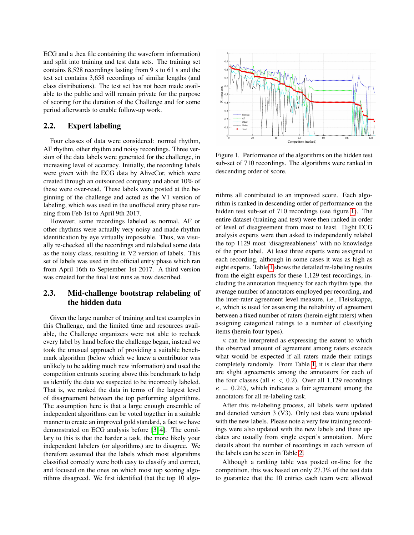ECG and a .hea file containing the waveform information) and split into training and test data sets. The training set contains 8,528 recordings lasting from 9 s to 61 s and the test set contains 3,658 recordings of similar lengths (and class distributions). The test set has not been made available to the public and will remain private for the purpose of scoring for the duration of the Challenge and for some period afterwards to enable follow-up work.

## 2.2. Expert labeling

Four classes of data were considered: normal rhythm, AF rhythm, other rhythm and noisy recordings. Three version of the data labels were generated for the challenge, in increasing level of accuracy. Initially, the recording labels were given with the ECG data by AliveCor, which were created through an outsourced company and about 10% of these were over-read. These labels were posted at the beginning of the challenge and acted as the V1 version of labeling, which was used in the unofficial entry phase running from Feb 1st to April 9th 2017.

However, some recordings labeled as normal, AF or other rhythms were actually very noisy and made rhythm identification by eye virtually impossible. Thus, we visually re-checked all the recordings and relabeled some data as the noisy class, resulting in V2 version of labels. This set of labels was used in the official entry phase which ran from April 16th to September 1st 2017. A third version was created for the final test runs as now described.

# 2.3. Mid-challenge bootstrap relabeling of the hidden data

Given the large number of training and test examples in this Challenge, and the limited time and resources available, the Challenge organizers were not able to recheck every label by hand before the challenge began, instead we took the unusual approach of providing a suitable benchmark algorithm (below which we knew a contributor was unlikely to be adding much new information) and used the competition entrants scoring above this benchmark to help us identify the data we suspected to be incorrectly labeled. That is, we ranked the data in terms of the largest level of disagreement between the top performing algorithms. The assumption here is that a large enough ensemble of independent algorithms can be voted together in a suitable manner to create an improved gold standard, a fact we have demonstrated on ECG analysis before [\[3,](#page-3-2) [4\]](#page-3-3). The corollary to this is that the harder a task, the more likely your independent labelers (or algorithms) are to disagree. We therefore assumed that the labels which most algorithms classified correctly were both easy to classify and correct, and focused on the ones on which most top scoring algorithms disagreed. We first identified that the top 10 algo-



<span id="page-1-0"></span>Figure 1. Performance of the algorithms on the hidden test sub-set of 710 recordings. The algorithms were ranked in descending order of score.

rithms all contributed to an improved score. Each algorithm is ranked in descending order of performance on the hidden test sub-set of 710 recordings (see figure [1\)](#page-1-0). The entire dataset (training and test) were then ranked in order of level of disagreement from most to least. Eight ECG analysis experts were then asked to independently relabel the top 1129 most 'disagreeableness' with no knowledge of the prior label. At least three experts were assigned to each recording, although in some cases it was as high as eight experts. Table [1](#page-2-0) shows the detailed re-labeling results from the eight experts for these 1,129 test recordings, including the annotation frequency for each rhythm type, the average number of annotators employed per recording, and the inter-rater agreement level measure, i.e., Fleisskappa, ´  $\kappa$ , which is used for assessing the reliability of agreement between a fixed number of raters (herein eight raters) when assigning categorical ratings to a number of classifying items (herein four types).

 $\kappa$  can be interpreted as expressing the extent to which the observed amount of agreement among raters exceeds what would be expected if all raters made their ratings completely randomly. From Table [1,](#page-2-0) it is clear that there are slight agreements among the annotators for each of the four classes (all  $\kappa$  < 0.2). Over all 1,129 recordings  $\kappa = 0.245$ , which indicates a fair agreement among the annotators for all re-labeling task.

After this re-labeling process, all labels were updated and denoted version 3 (V3). Only test data were updated with the new labels. Please note a very few training recordings were also updated with the new labels and these updates are usually from single expert's annotation. More details about the number of recordings in each version of the labels can be seen in Table [2.](#page-2-1)

Although a ranking table was posted on-line for the competition, this was based on only 27.3% of the test data to guarantee that the 10 entries each team were allowed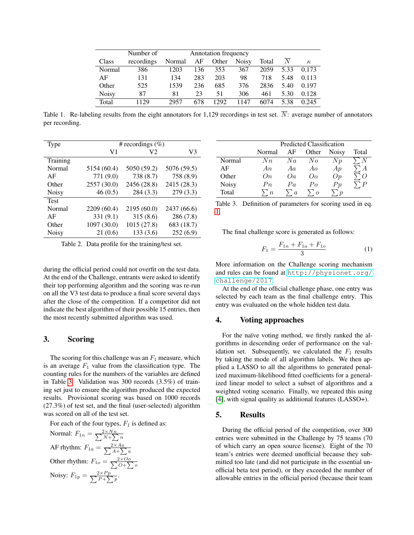|              | Number of  | Annotation frequency |     |       |              |       |      |          |
|--------------|------------|----------------------|-----|-------|--------------|-------|------|----------|
| Class        | recordings | Normal               | AF  | Other | <b>Noisy</b> | Total | N    | $\kappa$ |
| Normal       | 386        | 1203                 | 136 | 353   | 367          | 2059  | 5.33 | 0.173    |
| AF           | 131        | 134                  | 283 | 203   | 98           | 718   | 5.48 | 0.113    |
| Other        | 525        | 1539                 | 236 | 685   | 376          | 2836  | 5.40 | 0.197    |
| <b>Noisy</b> | 87         | 81                   | 23  | 51    | 306          | 461   | 5.30 | 0.128    |
| Total        | 1129       | 2957                 | 678 | 1292  | 1147         | 6074  | 5.38 | 0.245    |

<span id="page-2-0"></span>Table 1. Re-labeling results from the eight annotators for 1,129 recordings in test set.  $\overline{N}$ : average number of annotators per recording.

| <b>Type</b>  | # recordings $(\%)$ |             |             |  |  |  |
|--------------|---------------------|-------------|-------------|--|--|--|
|              | V <sub>1</sub>      | V2          | V3          |  |  |  |
| Training     |                     |             |             |  |  |  |
| Normal       | 5154 (60.4)         | 5050 (59.2) | 5076 (59.5) |  |  |  |
| AF           | 771 (9.0)           | 738 (8.7)   | 758 (8.9)   |  |  |  |
| Other        | 2557 (30.0)         | 2456 (28.8) | 2415 (28.3) |  |  |  |
| <b>Noisy</b> | 46(0.5)             | 284 (3.3)   | 279(3.3)    |  |  |  |
| <b>Test</b>  |                     |             |             |  |  |  |
| Normal       | 2209 (60.4)         | 2195 (60.0) | 2437 (66.6) |  |  |  |
| AF           | 331 (9.1)           | 315(8.6)    | 286(7.8)    |  |  |  |
| Other        | 1097 (30.0)         | 1015 (27.8) | 683 (18.7)  |  |  |  |
| <b>Noisy</b> | 21(0.6)             | 133(3.6)    | 252(6.9)    |  |  |  |

<span id="page-2-1"></span>Table 2. Data profile for the training/test set.

during the official period could not overfit on the test data. At the end of the Challenge, entrants were asked to identify their top performing algorithm and the scoring was re-run on all the V3 test data to produce a final score several days after the close of the competition. If a competitor did not indicate the best algorithm of their possible 15 entries, then the most recently submitted algorithm was used.

## 3. Scoring

The scoring for this challenge was an  $F_1$  measure, which is an average  $F_1$  value from the classification type. The counting rules for the numbers of the variables are defined in Table [3.](#page-2-2) Validation was 300 records (3.5%) of training set just to ensure the algorithm produced the expected results. Provisional scoring was based on 1000 records (27.3%) of test set, and the final (user-selected) algorithm was scored on all of the test set.

For each of the four types,  $F_1$  is defined as:

Normal:  $F_{1n} = \frac{2 \times Nn}{\sum N + \sum n}$  $N + \sum n$ AF rhythm:  $F_{1a} = \frac{2 \times Aa}{\sum A + \sum A}$  $A + \sum a$ Other rhythm:  $F_{1o} = \frac{2 \times O_o}{\sum O + \sum P}$  $O + \sum o$ Noisy:  $F_{1p} = \frac{2 \times Pp}{\sum P + \sum}$  $\frac{p}{P+\sum p}$ .

|              | Predicted Classification |          |          |              |                  |  |
|--------------|--------------------------|----------|----------|--------------|------------------|--|
|              | Normal                   | AF       | Other    | <b>Noisy</b> | Total            |  |
| Normal       | $N_{n}$                  | Na       | $N_{O}$  | $N_{p}$      |                  |  |
| AF           | An                       | Aa       | Ao       | Ap           |                  |  |
| Other        | On.                      | Oa       | Oο       | Op           | $\Omega$         |  |
| <b>Noisy</b> | $P_n$                    | Pa       | Po       | Pp           | $\boldsymbol{P}$ |  |
| Total        | n                        | $\alpha$ | $\alpha$ |              |                  |  |

<span id="page-2-2"></span>Table 3. Definition of parameters for scoring used in eq. [1.](#page-2-3)

The final challenge score is generated as follows:

<span id="page-2-3"></span>
$$
F_1 = \frac{F_{1n} + F_{1a} + F_{1o}}{3} \tag{1}
$$

More information on the Challenge scoring mechanism and rules can be found at [http://physionet.org/](http://physionet.org/challenge/2017) [challenge/2017](http://physionet.org/challenge/2017).

At the end of the official challenge phase, one entry was selected by each team as the final challenge entry. This entry was evaluated on the whole hidden test data.

#### 4. Voting approaches

For the naïve voting method, we firstly ranked the algorithms in descending order of performance on the validation set. Subsequently, we calculated the  $F_1$  results by taking the mode of all algorithm labels. We then applied a LASSO to all the algorithms to generated penalized maximum-likelihood fitted coefficients for a generalized linear model to select a subset of algorithms and a weighted voting scenario. Finally, we repeated this using [\[4\]](#page-3-3), with signal quality as additional features (LASSO+).

#### 5. Results

During the official period of the competition, over 300 entries were submitted in the Challenge by 75 teams (70 of which carry an open source license). Eight of the 70 team's entries were deemed unofficial because they submitted too late (and did not participate in the essential unofficial beta test period), or they exceeded the number of allowable entries in the official period (because their team